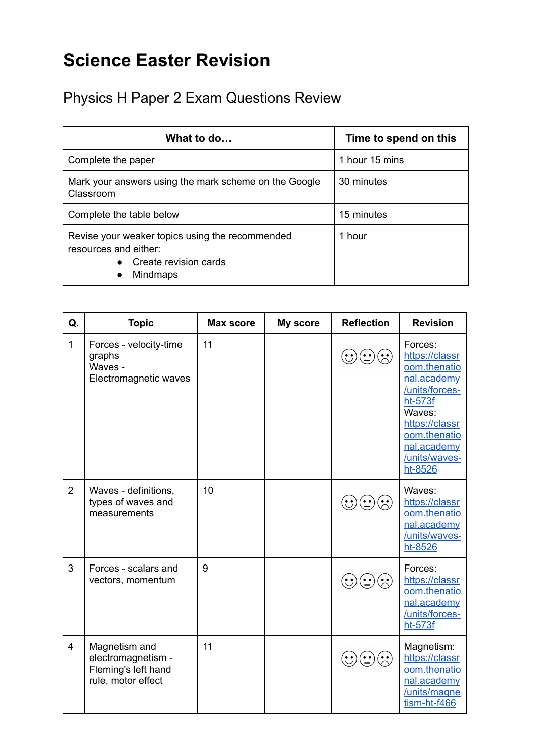## **Science Easter Revision**

Physics H Paper 2 Exam Questions Review

| What to do                                                                                                    | Time to spend on this |  |
|---------------------------------------------------------------------------------------------------------------|-----------------------|--|
| Complete the paper                                                                                            | 1 hour 15 mins        |  |
| Mark your answers using the mark scheme on the Google<br>Classroom                                            | 30 minutes            |  |
| Complete the table below                                                                                      | 15 minutes            |  |
| Revise your weaker topics using the recommended<br>resources and either:<br>Create revision cards<br>Mindmaps | 1 hour                |  |

| Q.             | <b>Topic</b>                                                                     | <b>Max score</b> | My score | <b>Reflection</b>                            | <b>Revision</b>                                                                                                                                                              |
|----------------|----------------------------------------------------------------------------------|------------------|----------|----------------------------------------------|------------------------------------------------------------------------------------------------------------------------------------------------------------------------------|
| $\mathbf{1}$   | Forces - velocity-time<br>graphs<br>Waves -<br>Electromagnetic waves             | 11               |          | $\left(\boldsymbol{\cdot}\right)$            | Forces:<br>https://classr<br>oom.thenatio<br>nal.academy<br>/units/forces-<br>ht-573f<br>Waves:<br>https://classr<br>oom.thenatio<br>nal.academy<br>/units/waves-<br>ht-8526 |
| $\overline{2}$ | Waves - definitions,<br>types of waves and<br>measurements                       | 10               |          |                                              | Waves:<br>https://classr<br>oom.thenatio<br>nal.academy<br>/units/waves-<br>ht-8526                                                                                          |
| 3              | Forces - scalars and<br>vectors, momentum                                        | 9                |          | $\left( \bullet \bullet \right)$             | Forces:<br>https://classr<br>oom.thenatio<br>nal.academy<br>/units/forces-<br>ht-573f                                                                                        |
| $\overline{4}$ | Magnetism and<br>electromagnetism -<br>Fleming's left hand<br>rule, motor effect | 11               |          | $(\mathrel{\mathop{\sim}\limits^{\bullet}})$ | Magnetism:<br>https://classr<br>oom.thenatio<br>nal.academy<br>/units/magne<br>tism-ht-f466                                                                                  |